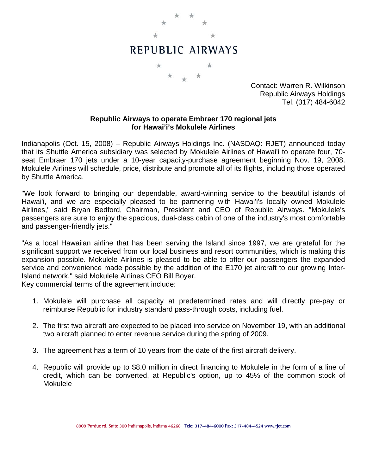

Contact: Warren R. Wilkinson Republic Airways Holdings Tel. (317) 484-6042

## **Republic Airways to operate Embraer 170 regional jets for Hawai'i's Mokulele Airlines**

Indianapolis (Oct. 15, 2008) – Republic Airways Holdings Inc. (NASDAQ: RJET) announced today that its Shuttle America subsidiary was selected by Mokulele Airlines of Hawai'i to operate four, 70 seat Embraer 170 jets under a 10-year capacity-purchase agreement beginning Nov. 19, 2008. Mokulele Airlines will schedule, price, distribute and promote all of its flights, including those operated by Shuttle America.

"We look forward to bringing our dependable, award-winning service to the beautiful islands of Hawai'i, and we are especially pleased to be partnering with Hawai'i's locally owned Mokulele Airlines," said Bryan Bedford, Chairman, President and CEO of Republic Airways. "Mokulele's passengers are sure to enjoy the spacious, dual-class cabin of one of the industry's most comfortable and passenger-friendly jets."

"As a local Hawaiian airline that has been serving the Island since 1997, we are grateful for the significant support we received from our local business and resort communities, which is making this expansion possible. Mokulele Airlines is pleased to be able to offer our passengers the expanded service and convenience made possible by the addition of the E170 jet aircraft to our growing Inter-Island network," said Mokulele Airlines CEO Bill Boyer.

Key commercial terms of the agreement include:

- 1. Mokulele will purchase all capacity at predetermined rates and will directly pre-pay or reimburse Republic for industry standard pass-through costs, including fuel.
- 2. The first two aircraft are expected to be placed into service on November 19, with an additional two aircraft planned to enter revenue service during the spring of 2009.
- 3. The agreement has a term of 10 years from the date of the first aircraft delivery.
- 4. Republic will provide up to \$8.0 million in direct financing to Mokulele in the form of a line of credit, which can be converted, at Republic's option, up to 45% of the common stock of Mokulele